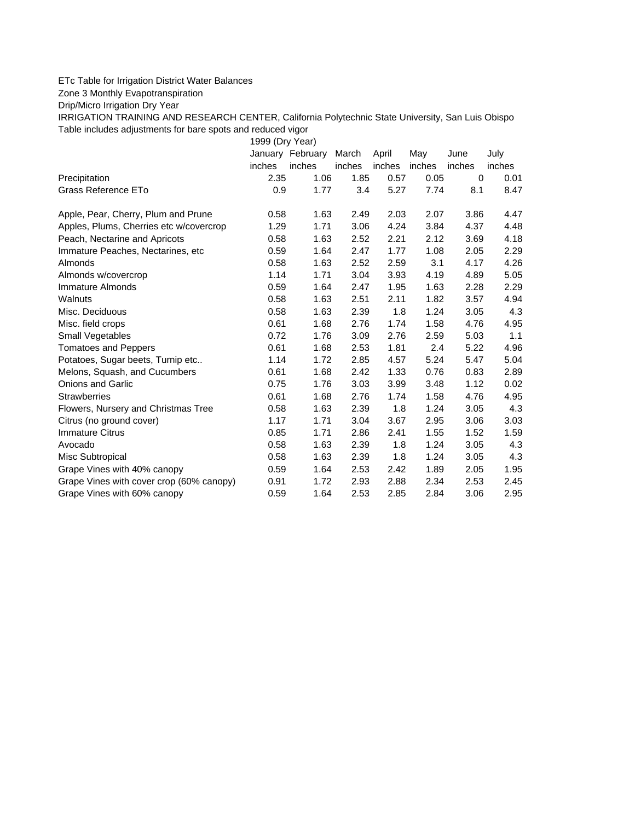## ETc Table for Irrigation District Water Balances

Zone 3 Monthly Evapotranspiration

Drip/Micro Irrigation Dry Year

IRRIGATION TRAINING AND RESEARCH CENTER, California Polytechnic State University, San Luis Obispo Table includes adjustments for bare spots and reduced vigor

1999 (Dry Year)

|                                          |        | January February | March  | April  | May    | June   | July   |
|------------------------------------------|--------|------------------|--------|--------|--------|--------|--------|
|                                          | inches | inches           | inches | inches | inches | inches | inches |
| Precipitation                            | 2.35   | 1.06             | 1.85   | 0.57   | 0.05   | 0      | 0.01   |
| Grass Reference ETo                      | 0.9    | 1.77             | 3.4    | 5.27   | 7.74   | 8.1    | 8.47   |
| Apple, Pear, Cherry, Plum and Prune      | 0.58   | 1.63             | 2.49   | 2.03   | 2.07   | 3.86   | 4.47   |
| Apples, Plums, Cherries etc w/covercrop  | 1.29   | 1.71             | 3.06   | 4.24   | 3.84   | 4.37   | 4.48   |
| Peach, Nectarine and Apricots            | 0.58   | 1.63             | 2.52   | 2.21   | 2.12   | 3.69   | 4.18   |
| Immature Peaches, Nectarines, etc        | 0.59   | 1.64             | 2.47   | 1.77   | 1.08   | 2.05   | 2.29   |
| <b>Almonds</b>                           | 0.58   | 1.63             | 2.52   | 2.59   | 3.1    | 4.17   | 4.26   |
| Almonds w/covercrop                      | 1.14   | 1.71             | 3.04   | 3.93   | 4.19   | 4.89   | 5.05   |
| Immature Almonds                         | 0.59   | 1.64             | 2.47   | 1.95   | 1.63   | 2.28   | 2.29   |
| Walnuts                                  | 0.58   | 1.63             | 2.51   | 2.11   | 1.82   | 3.57   | 4.94   |
| Misc. Deciduous                          | 0.58   | 1.63             | 2.39   | 1.8    | 1.24   | 3.05   | 4.3    |
| Misc. field crops                        | 0.61   | 1.68             | 2.76   | 1.74   | 1.58   | 4.76   | 4.95   |
| Small Vegetables                         | 0.72   | 1.76             | 3.09   | 2.76   | 2.59   | 5.03   | 1.1    |
| <b>Tomatoes and Peppers</b>              | 0.61   | 1.68             | 2.53   | 1.81   | 2.4    | 5.22   | 4.96   |
| Potatoes, Sugar beets, Turnip etc        | 1.14   | 1.72             | 2.85   | 4.57   | 5.24   | 5.47   | 5.04   |
| Melons, Squash, and Cucumbers            | 0.61   | 1.68             | 2.42   | 1.33   | 0.76   | 0.83   | 2.89   |
| <b>Onions and Garlic</b>                 | 0.75   | 1.76             | 3.03   | 3.99   | 3.48   | 1.12   | 0.02   |
| <b>Strawberries</b>                      | 0.61   | 1.68             | 2.76   | 1.74   | 1.58   | 4.76   | 4.95   |
| Flowers, Nursery and Christmas Tree      | 0.58   | 1.63             | 2.39   | 1.8    | 1.24   | 3.05   | 4.3    |
| Citrus (no ground cover)                 | 1.17   | 1.71             | 3.04   | 3.67   | 2.95   | 3.06   | 3.03   |
| <b>Immature Citrus</b>                   | 0.85   | 1.71             | 2.86   | 2.41   | 1.55   | 1.52   | 1.59   |
| Avocado                                  | 0.58   | 1.63             | 2.39   | 1.8    | 1.24   | 3.05   | 4.3    |
| Misc Subtropical                         | 0.58   | 1.63             | 2.39   | 1.8    | 1.24   | 3.05   | 4.3    |
| Grape Vines with 40% canopy              | 0.59   | 1.64             | 2.53   | 2.42   | 1.89   | 2.05   | 1.95   |
| Grape Vines with cover crop (60% canopy) | 0.91   | 1.72             | 2.93   | 2.88   | 2.34   | 2.53   | 2.45   |
| Grape Vines with 60% canopy              | 0.59   | 1.64             | 2.53   | 2.85   | 2.84   | 3.06   | 2.95   |